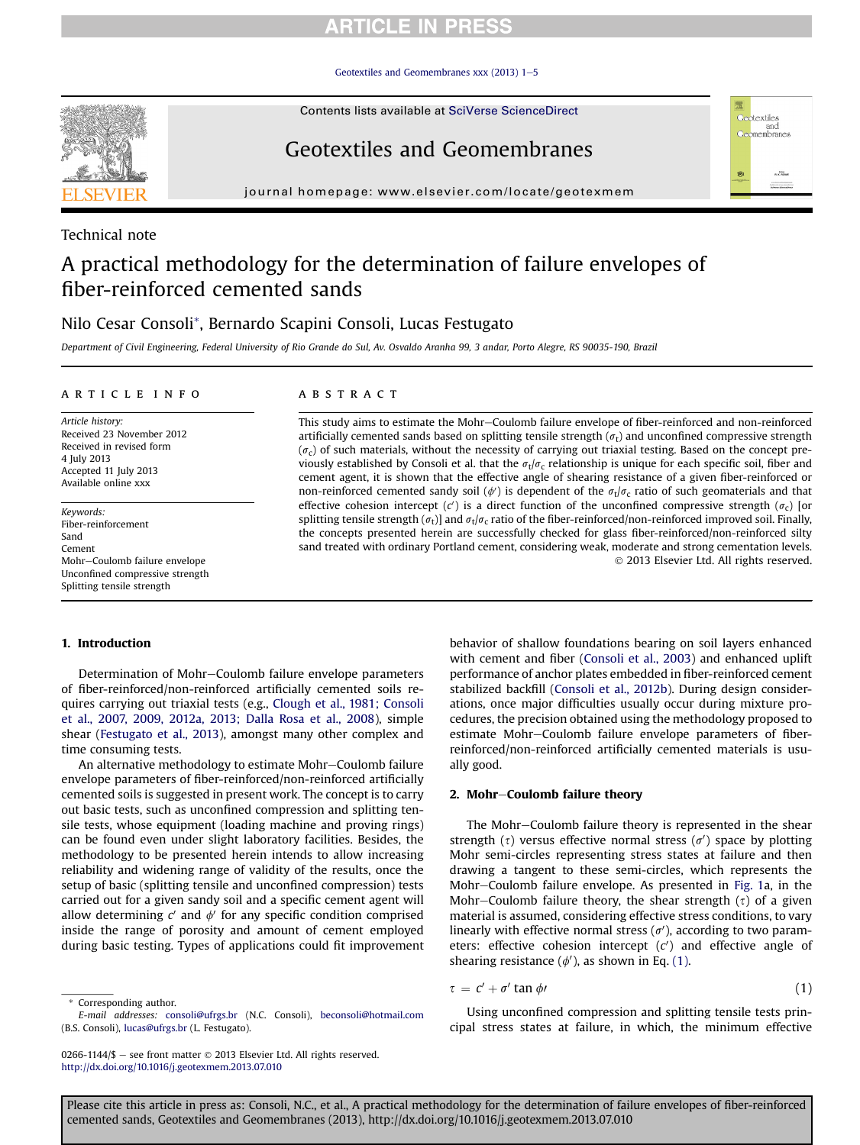# **ARTICLE IN PRESS**

Geotextiles and Geomembranes xxx  $(2013)$  1-[5](http://dx.doi.org/10.1016/j.geotexmem.2013.07.010)

Contents lists available at SciVerse ScienceDirect

# Geotextiles and Geomembranes

journal homepage: [www.elsevier.com/locate/geotexmem](http://www.elsevier.com/locate/geotexmem)

### Technical note

# A practical methodology for the determination of failure envelopes of fiber-reinforced cemented sands

## Nilo Cesar Consoli\*, Bernardo Scapini Consoli, Lucas Festugato

Department of Civil Engineering, Federal University of Rio Grande do Sul, Av. Osvaldo Aranha 99, 3 andar, Porto Alegre, RS 90035-190, Brazil

#### article info

Article history: Received 23 November 2012 Received in revised form 4 July 2013 Accepted 11 July 2013 Available online xxx

Keywords: Fiber-reinforcement Sand Cement Mohr-Coulomb failure envelope Unconfined compressive strength Splitting tensile strength

### **ABSTRACT**

This study aims to estimate the Mohr-Coulomb failure envelope of fiber-reinforced and non-reinforced artificially cemented sands based on splitting tensile strength  $(\sigma_t)$  and unconfined compressive strength  $(\sigma_c)$  of such materials, without the necessity of carrying out triaxial testing. Based on the concept previously established by Consoli et al. that the  $\sigma_t/\sigma_c$  relationship is unique for each specific soil, fiber and cement agent, it is shown that the effective angle of shearing resistance of a given fiber-reinforced or non-reinforced cemented sandy soil ( $\phi'$ ) is dependent of the  $\sigma_t/\sigma_c$  ratio of such geomaterials and that effective cohesion intercept (c') is a direct function of the unconfined compressive strength ( $\sigma_c$ ) [or splitting tensile strength  $(\sigma_t)$ ] and  $\sigma_t/\sigma_c$  ratio of the fiber-reinforced/non-reinforced improved soil. Finally, the concepts presented herein are successfully checked for glass fiber-reinforced/non-reinforced silty sand treated with ordinary Portland cement, considering weak, moderate and strong cementation levels. 2013 Elsevier Ltd. All rights reserved.

#### 1. Introduction

Determination of Mohr-Coulomb failure envelope parameters of fiber-reinforced/non-reinforced artificially cemented soils requires carrying out triaxial tests (e.g., [Clough et al., 1981; Consoli](#page-4-0) [et al., 2007, 2009, 2012a, 2013; Dalla Rosa et al., 2008\)](#page-4-0), simple shear [\(Festugato et al., 2013\)](#page-4-0), amongst many other complex and time consuming tests.

An alternative methodology to estimate Mohr-Coulomb failure envelope parameters of fiber-reinforced/non-reinforced artificially cemented soils is suggested in present work. The concept is to carry out basic tests, such as unconfined compression and splitting tensile tests, whose equipment (loading machine and proving rings) can be found even under slight laboratory facilities. Besides, the methodology to be presented herein intends to allow increasing reliability and widening range of validity of the results, once the setup of basic (splitting tensile and unconfined compression) tests carried out for a given sandy soil and a specific cement agent will allow determining  $c'$  and  $\phi'$  for any specific condition comprised inside the range of porosity and amount of cement employed during basic testing. Types of applications could fit improvement

Corresponding author.

behavior of shallow foundations bearing on soil layers enhanced with cement and fiber ([Consoli et al., 2003\)](#page-4-0) and enhanced uplift performance of anchor plates embedded in fiber-reinforced cement stabilized backfill [\(Consoli et al., 2012b](#page-4-0)). During design considerations, once major difficulties usually occur during mixture procedures, the precision obtained using the methodology proposed to estimate Mohr-Coulomb failure envelope parameters of fiberreinforced/non-reinforced artificially cemented materials is usually good.

<sub>otextiles</sub><br>and omembranes

 $R$ ,  $K$ , FIOW

琚

#### 2. Mohr-Coulomb failure theory

The Mohr-Coulomb failure theory is represented in the shear strength ( $\tau$ ) versus effective normal stress ( $\sigma'$ ) space by plotting Mohr semi-circles representing stress states at failure and then drawing a tangent to these semi-circles, which represents the Mohr-Coulomb failure envelope. As presented in [Fig. 1](#page-1-0)a, in the Mohr-Coulomb failure theory, the shear strength  $(\tau)$  of a given material is assumed, considering effective stress conditions, to vary linearly with effective normal stress  $(\sigma')$ , according to two parameters: effective cohesion intercept  $(c')$  and effective angle of shearing resistance  $(\phi')$ , as shown in Eq. (1).

$$
\tau = c' + \sigma' \tan \phi \tag{1}
$$

Using unconfined compression and splitting tensile tests principal stress states at failure, in which, the minimum effective

E-mail addresses: [consoli@ufrgs.br](mailto:consoli@ufrgs.br) (N.C. Consoli), [beconsoli@hotmail.com](mailto:beconsoli@hotmail.com) (B.S. Consoli), [lucas@ufrgs.br](mailto:lucas@ufrgs.br) (L. Festugato).

<sup>0266-1144/\$ -</sup> see front matter  $\odot$  2013 Elsevier Ltd. All rights reserved. <http://dx.doi.org/10.1016/j.geotexmem.2013.07.010>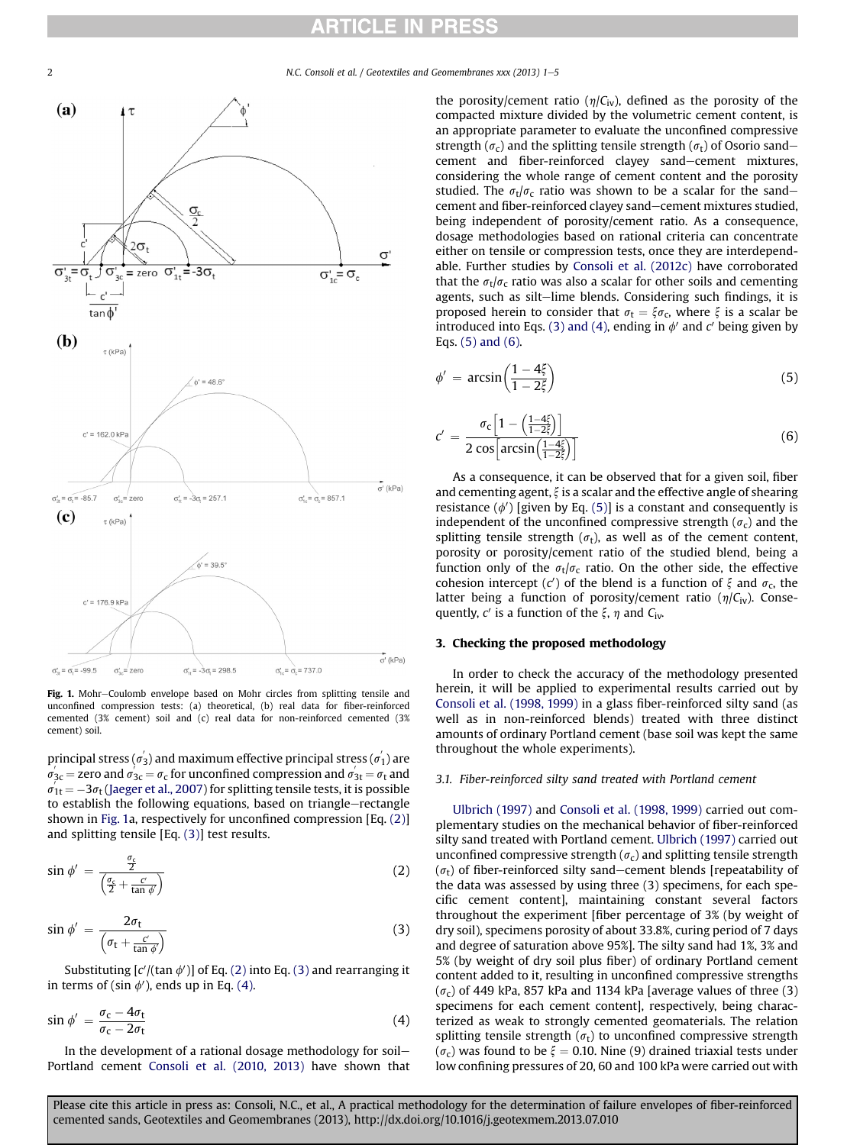<span id="page-1-0"></span>2 N.C. Consoli et al. / Geotextiles and Geomembranes xxx (2013) 1-5

 $\epsilon$ 



Fig. 1. Mohr-Coulomb envelope based on Mohr circles from splitting tensile and unconfined compression tests: (a) theoretical, (b) real data for fiber-reinforced cemented (3% cement) soil and (c) real data for non-reinforced cemented (3% cement) soil.

principal stress ( $\sigma _{3}^{^{\prime }}$ ) and maximum effective principal stress ( $\sigma _{1}^{^{\prime }}$ ) are  $\sigma'_{3\text{c}}$  = zero and  $\sigma'_{3\text{c}} = \sigma_{\text{c}}$  for unconfined compression and  $\sigma'_{3\text{t}} = \sigma_{\text{t}}$  and  $\sigma'_{1t} = -3\sigma_t$  ([Jaeger et al., 2007\)](#page-4-0) for splitting tensile tests, it is possible to establish the following equations, based on triangle-rectangle shown in Fig. 1a, respectively for unconfined compression [Eq. (2)] and splitting tensile [Eq. (3)] test results.

$$
\sin \phi' = \frac{\frac{\sigma_c}{2}}{\left(\frac{\sigma_c}{2} + \frac{c'}{\tan \phi'}\right)}\tag{2}
$$

$$
\sin \phi' = \frac{2\sigma_t}{\left(\sigma_t + \frac{c'}{\tan \phi'}\right)}\tag{3}
$$

Substituting [ $c'$ /(tan  $\phi'$ )] of Eq. (2) into Eq. (3) and rearranging it in terms of (sin  $\phi'$ ), ends up in Eq. (4).

$$
\sin \phi' = \frac{\sigma_{\rm c} - 4\sigma_{\rm t}}{\sigma_{\rm c} - 2\sigma_{\rm t}} \tag{4}
$$

In the development of a rational dosage methodology for soil-Portland cement [Consoli et al. \(2010, 2013\)](#page-4-0) have shown that the porosity/cement ratio  $(\eta/C_{iv})$ , defined as the porosity of the compacted mixture divided by the volumetric cement content, is an appropriate parameter to evaluate the unconfined compressive strength ( $\sigma_c$ ) and the splitting tensile strength ( $\sigma_t$ ) of Osorio sandcement and fiber-reinforced clayey sand-cement mixtures, considering the whole range of cement content and the porosity studied. The  $\sigma_t/\sigma_c$  ratio was shown to be a scalar for the sandcement and fiber-reinforced clayey sand-cement mixtures studied, being independent of porosity/cement ratio. As a consequence, dosage methodologies based on rational criteria can concentrate either on tensile or compression tests, once they are interdependable. Further studies by [Consoli et al. \(2012c\)](#page-4-0) have corroborated that the  $\sigma_t/\sigma_c$  ratio was also a scalar for other soils and cementing agents, such as silt-lime blends. Considering such findings, it is proposed herein to consider that  $\sigma_t = \xi \sigma_c$ , where  $\xi$  is a scalar be introduced into Eqs. (3) and (4), ending in  $\phi'$  and c' being given by Eqs. (5) and (6).

$$
\phi' = \arcsin\left(\frac{1 - 4\xi}{1 - 2\xi}\right) \tag{5}
$$

$$
^{\prime} = \frac{\sigma_{\rm c} \left[1 - \left(\frac{1 - 4\xi}{1 - 2\xi}\right)\right]}{2 \cos \left[\arcsin\left(\frac{1 - 4\xi}{1 - 2\xi}\right)\right]}
$$
(6)

As a consequence, it can be observed that for a given soil, fiber and cementing agent,  $\xi$  is a scalar and the effective angle of shearing resistance  $(\phi')$  [given by Eq. (5)] is a constant and consequently is independent of the unconfined compressive strength  $(\sigma_c)$  and the splitting tensile strength  $(\sigma_t)$ , as well as of the cement content, porosity or porosity/cement ratio of the studied blend, being a function only of the  $\sigma_t/\sigma_c$  ratio. On the other side, the effective cohesion intercept (c') of the blend is a function of  $\xi$  and  $\sigma_c$ , the latter being a function of porosity/cement ratio  $(\eta/C_{iv})$ . Consequently, c' is a function of the  $\xi$ ,  $\eta$  and C<sub>iv</sub>.

#### 3. Checking the proposed methodology

In order to check the accuracy of the methodology presented herein, it will be applied to experimental results carried out by [Consoli et al. \(1998, 1999\)](#page-4-0) in a glass fiber-reinforced silty sand (as well as in non-reinforced blends) treated with three distinct amounts of ordinary Portland cement (base soil was kept the same throughout the whole experiments).

#### 3.1. Fiber-reinforced silty sand treated with Portland cement

[Ulbrich \(1997\)](#page-4-0) and [Consoli et al. \(1998, 1999\)](#page-4-0) carried out complementary studies on the mechanical behavior of fiber-reinforced silty sand treated with Portland cement. [Ulbrich \(1997\)](#page-4-0) carried out unconfined compressive strength  $(\sigma_c)$  and splitting tensile strength  $(\sigma_t)$  of fiber-reinforced silty sand-cement blends [repeatability of the data was assessed by using three (3) specimens, for each specific cement content], maintaining constant several factors throughout the experiment [fiber percentage of 3% (by weight of dry soil), specimens porosity of about 33.8%, curing period of 7 days and degree of saturation above 95%]. The silty sand had 1%, 3% and 5% (by weight of dry soil plus fiber) of ordinary Portland cement content added to it, resulting in unconfined compressive strengths  $(\sigma_{c})$  of 449 kPa, 857 kPa and 1134 kPa [average values of three (3) specimens for each cement content], respectively, being characterized as weak to strongly cemented geomaterials. The relation splitting tensile strength ( $\sigma_t$ ) to unconfined compressive strength  $(\sigma_{\rm c})$  was found to be  $\xi = 0.10$ . Nine (9) drained triaxial tests under low confining pressures of 20, 60 and 100 kPa were carried out with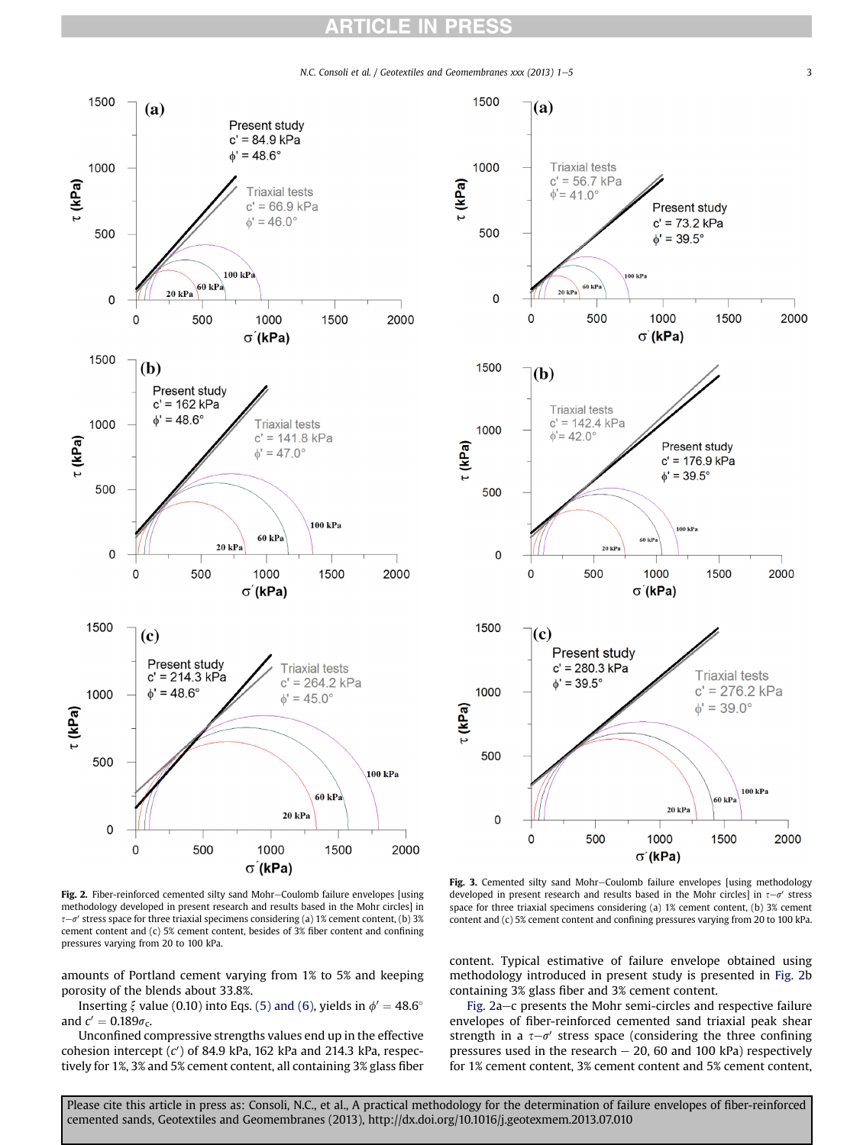# **ARTICLE IN PRESS**

N.C. Consoli et al. / Geotextiles and Geomembranes xxx (2013) 1-5 3

τ (kPa)

<span id="page-2-0"></span>



Fig. 2. Fiber-reinforced cemented silty sand Mohr-Coulomb failure envelopes [using methodology developed in present research and results based in the Mohr circles] in  $\tau-\sigma'$  stress space for three triaxial specimens considering (a) 1% cement content, (b) 3% cement content and (c) 5% cement content, besides of 3% fiber content and confining pressures varying from 20 to 100 kPa.

amounts of Portland cement varying from 1% to 5% and keeping porosity of the blends about 33.8%.

Inserting  $\xi$  value (0.10) into Eqs. [\(5\) and \(6\)](#page-1-0), yields in  $\phi' = 48.6^{\circ}$ and  $c' = 0.189\sigma_c$ .

Unconfined compressive strengths values end up in the effective cohesion intercept (c') of 84.9 kPa, 162 kPa and 214.3 kPa, respectively for 1%, 3% and 5% cement content, all containing 3% glass fiber

Fig. 3. Cemented silty sand Mohr-Coulomb failure envelopes [using methodology developed in present research and results based in the Mohr circles] in  $\tau-\sigma'$  stress space for three triaxial specimens considering (a) 1% cement content, (b) 3% cement content and (c) 5% cement content and confining pressures varying from 20 to 100 kPa.

content. Typical estimative of failure envelope obtained using methodology introduced in present study is presented in Fig. 2b containing 3% glass fiber and 3% cement content.

Fig. 2a-c presents the Mohr semi-circles and respective failure envelopes of fiber-reinforced cemented sand triaxial peak shear strength in a  $\tau-\sigma'$  stress space (considering the three confining pressures used in the research  $-20$ , 60 and 100 kPa) respectively for 1% cement content, 3% cement content and 5% cement content,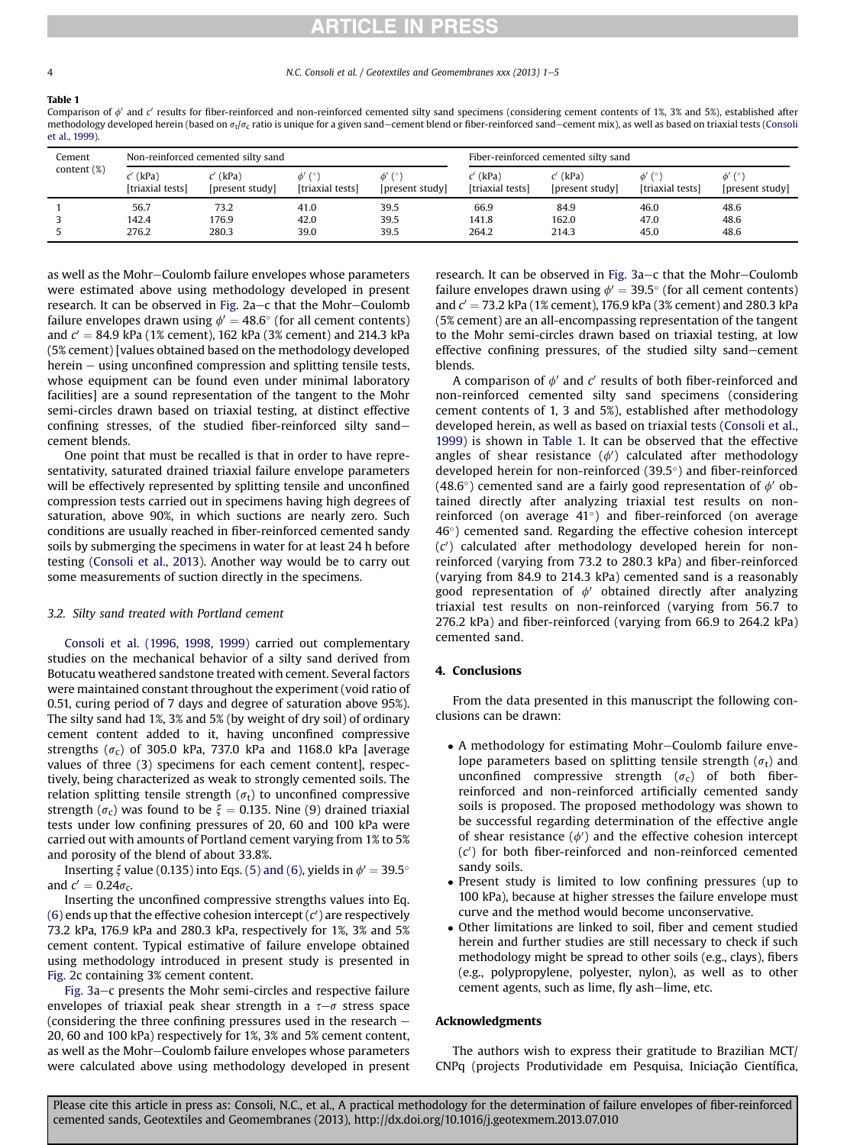# **RTICLE IN PRESS**

Table 1

Comparison of  $\phi'$  and  $c'$  results for fiber-reinforced and non-reinforced cemented silty sand specimens (considering cement contents of 1%, 3% and 5%), established after methodology developed herein (based on  $\sigma_t/\sigma_c$  ratio is unique for a given sand—cement blend or fiber-reinforced sand—cement mix), as well as based on triaxial tests ([Consoli](#page-4-0) [et al., 1999](#page-4-0)).

| Cement<br>content $(\%)$ | Non-reinforced cemented silty sand |                               |                                         |                 | Fiber-reinforced cemented silty sand |                               |                                         |                                |
|--------------------------|------------------------------------|-------------------------------|-----------------------------------------|-----------------|--------------------------------------|-------------------------------|-----------------------------------------|--------------------------------|
|                          | $c'$ (kPa)<br>[triaxial tests]     | $c'$ (kPa)<br>[present study] | $\phi'$ ( $\circ$ )<br>[triaxial tests] | [present study] | $c'$ (kPa)<br>[triaxial tests]       | $c'$ (kPa)<br>[present study] | $\phi'$ ( $\circ$ )<br>[triaxial tests] | $\phi'$ (°)<br>[present study] |
|                          | 56.7                               | 73.2                          | 41.0                                    | 39.5            | 66.9                                 | 84.9                          | 46.0                                    | 48.6                           |
|                          | 142.4                              | 176.9                         | 42.0                                    | 39.5            | 141.8                                | 162.0                         | 47.0                                    | 48.6                           |
|                          | 276.2                              | 280.3                         | 39.0                                    | 39.5            | 264.2                                | 214.3                         | 45.0                                    | 48.6                           |

as well as the Mohr-Coulomb failure envelopes whose parameters were estimated above using methodology developed in present research. It can be observed in Fig.  $2a-c$  that the Mohr-Coulomb failure envelopes drawn using  $\phi' = 48.6^{\circ}$  (for all cement contents) and  $c' = 84.9$  kPa (1% cement), 162 kPa (3% cement) and 214.3 kPa (5% cement) [values obtained based on the methodology developed  $herein - using unconfined compression and splitting tensile tests,$ whose equipment can be found even under minimal laboratory facilities] are a sound representation of the tangent to the Mohr semi-circles drawn based on triaxial testing, at distinct effective confining stresses, of the studied fiber-reinforced silty sandcement blends.

One point that must be recalled is that in order to have representativity, saturated drained triaxial failure envelope parameters will be effectively represented by splitting tensile and unconfined compression tests carried out in specimens having high degrees of saturation, above 90%, in which suctions are nearly zero. Such conditions are usually reached in fiber-reinforced cemented sandy soils by submerging the specimens in water for at least 24 h before testing ([Consoli et al., 2013](#page-4-0)). Another way would be to carry out some measurements of suction directly in the specimens.

#### 3.2. Silty sand treated with Portland cement

[Consoli et al. \(1996, 1998, 1999\)](#page-4-0) carried out complementary studies on the mechanical behavior of a silty sand derived from Botucatu weathered sandstone treated with cement. Several factors were maintained constant throughout the experiment (void ratio of 0.51, curing period of 7 days and degree of saturation above 95%). The silty sand had 1%, 3% and 5% (by weight of dry soil) of ordinary cement content added to it, having unconfined compressive strengths ( $\sigma_c$ ) of 305.0 kPa, 737.0 kPa and 1168.0 kPa [average values of three (3) specimens for each cement content], respectively, being characterized as weak to strongly cemented soils. The relation splitting tensile strength  $(\sigma_t)$  to unconfined compressive strength ( $\sigma_c$ ) was found to be  $\xi = 0.135$ . Nine (9) drained triaxial tests under low confining pressures of 20, 60 and 100 kPa were carried out with amounts of Portland cement varying from 1% to 5% and porosity of the blend of about 33.8%.

Inserting  $\xi$  value (0.135) into Eqs. [\(5\) and \(6\)](#page-1-0), yields in  $\phi' = 39.5^{\circ}$ and  $c' = 0.24 \sigma_c$ .

Inserting the unconfined compressive strengths values into Eq. [\(6\)](#page-1-0) ends up that the effective cohesion intercept (c') are respectively 73.2 kPa, 176.9 kPa and 280.3 kPa, respectively for 1%, 3% and 5% cement content. Typical estimative of failure envelope obtained using methodology introduced in present study is presented in [Fig. 2c](#page-2-0) containing 3% cement content.

[Fig. 3a](#page-2-0)–c presents the Mohr semi-circles and respective failure envelopes of triaxial peak shear strength in a  $\tau-\sigma$  stress space (considering the three confining pressures used in the research  $-$ 20, 60 and 100 kPa) respectively for 1%, 3% and 5% cement content, as well as the Mohr-Coulomb failure envelopes whose parameters were calculated above using methodology developed in present research. It can be observed in [Fig. 3a](#page-2-0)-c that the Mohr-Coulomb failure envelopes drawn using  $\phi' = 39.5^{\circ}$  (for all cement contents) and  $c' = 73.2$  kPa (1% cement), 176.9 kPa (3% cement) and 280.3 kPa (5% cement) are an all-encompassing representation of the tangent to the Mohr semi-circles drawn based on triaxial testing, at low effective confining pressures, of the studied silty sand-cement blends.

A comparison of  $\phi'$  and  $c'$  results of both fiber-reinforced and non-reinforced cemented silty sand specimens (considering cement contents of 1, 3 and 5%), established after methodology developed herein, as well as based on triaxial tests ([Consoli et al.,](#page-4-0) [1999\)](#page-4-0) is shown in Table 1. It can be observed that the effective angles of shear resistance  $(\phi')$  calculated after methodology developed herein for non-reinforced  $(39.5^{\circ})$  and fiber-reinforced (48.6°) cemented sand are a fairly good representation of  $\phi$  obtained directly after analyzing triaxial test results on nonreinforced (on average  $41^{\circ}$ ) and fiber-reinforced (on average  $46^\circ$ ) cemented sand. Regarding the effective cohesion intercept  $(c')$  calculated after methodology developed herein for nonreinforced (varying from 73.2 to 280.3 kPa) and fiber-reinforced (varying from 84.9 to 214.3 kPa) cemented sand is a reasonably good representation of  $\phi$  obtained directly after analyzing triaxial test results on non-reinforced (varying from 56.7 to 276.2 kPa) and fiber-reinforced (varying from 66.9 to 264.2 kPa) cemented sand.

#### 4. Conclusions

From the data presented in this manuscript the following conclusions can be drawn:

- A methodology for estimating Mohr–Coulomb failure envelope parameters based on splitting tensile strength  $(\sigma_t)$  and unconfined compressive strength  $(\sigma_c)$  of both fiberreinforced and non-reinforced artificially cemented sandy soils is proposed. The proposed methodology was shown to be successful regarding determination of the effective angle of shear resistance  $(\phi)$  and the effective cohesion intercept  $(c')$  for both fiber-reinforced and non-reinforced cemented sandy soils.
- Present study is limited to low confining pressures (up to 100 kPa), because at higher stresses the failure envelope must curve and the method would become unconservative.
- Other limitations are linked to soil, fiber and cement studied herein and further studies are still necessary to check if such methodology might be spread to other soils (e.g., clays), fibers (e.g., polypropylene, polyester, nylon), as well as to other cement agents, such as lime, fly ash-lime, etc.

#### Acknowledgments

The authors wish to express their gratitude to Brazilian MCT/ CNPq (projects Produtividade em Pesquisa, Iniciação Científica,